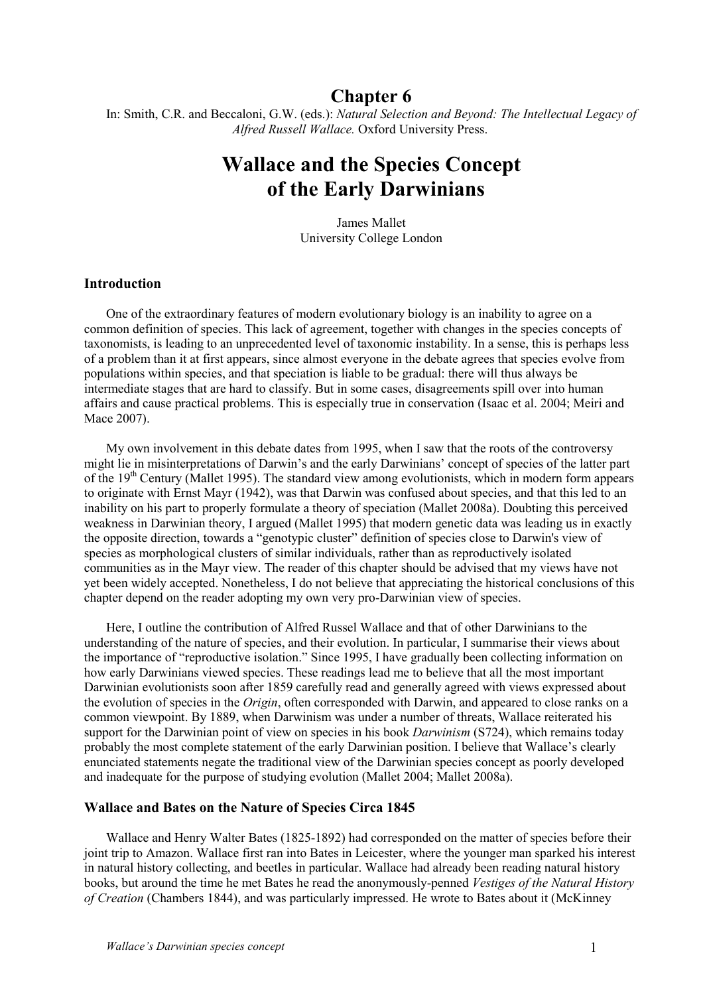## Chapter 6

In: Smith, C.R. and Beccaloni, G.W. (eds.): Natural Selection and Beyond: The Intellectual Legacy of Alfred Russell Wallace. Oxford University Press.

# Wallace and the Species Concept of the Early Darwinians

James Mallet University College London

## Introduction

One of the extraordinary features of modern evolutionary biology is an inability to agree on a common definition of species. This lack of agreement, together with changes in the species concepts of taxonomists, is leading to an unprecedented level of taxonomic instability. In a sense, this is perhaps less of a problem than it at first appears, since almost everyone in the debate agrees that species evolve from populations within species, and that speciation is liable to be gradual: there will thus always be intermediate stages that are hard to classify. But in some cases, disagreements spill over into human affairs and cause practical problems. This is especially true in conservation (Isaac et al. 2004; Meiri and Mace 2007).

My own involvement in this debate dates from 1995, when I saw that the roots of the controversy might lie in misinterpretations of Darwin's and the early Darwinians' concept of species of the latter part of the 19th Century (Mallet 1995). The standard view among evolutionists, which in modern form appears to originate with Ernst Mayr (1942), was that Darwin was confused about species, and that this led to an inability on his part to properly formulate a theory of speciation (Mallet 2008a). Doubting this perceived weakness in Darwinian theory, I argued (Mallet 1995) that modern genetic data was leading us in exactly the opposite direction, towards a "genotypic cluster" definition of species close to Darwin's view of species as morphological clusters of similar individuals, rather than as reproductively isolated communities as in the Mayr view. The reader of this chapter should be advised that my views have not yet been widely accepted. Nonetheless, I do not believe that appreciating the historical conclusions of this chapter depend on the reader adopting my own very pro-Darwinian view of species.

Here, I outline the contribution of Alfred Russel Wallace and that of other Darwinians to the understanding of the nature of species, and their evolution. In particular, I summarise their views about the importance of "reproductive isolation." Since 1995, I have gradually been collecting information on how early Darwinians viewed species. These readings lead me to believe that all the most important Darwinian evolutionists soon after 1859 carefully read and generally agreed with views expressed about the evolution of species in the *Origin*, often corresponded with Darwin, and appeared to close ranks on a common viewpoint. By 1889, when Darwinism was under a number of threats, Wallace reiterated his support for the Darwinian point of view on species in his book *Darwinism* (S724), which remains today probably the most complete statement of the early Darwinian position. I believe that Wallace's clearly enunciated statements negate the traditional view of the Darwinian species concept as poorly developed and inadequate for the purpose of studying evolution (Mallet 2004; Mallet 2008a).

#### Wallace and Bates on the Nature of Species Circa 1845

Wallace and Henry Walter Bates (1825-1892) had corresponded on the matter of species before their joint trip to Amazon. Wallace first ran into Bates in Leicester, where the younger man sparked his interest in natural history collecting, and beetles in particular. Wallace had already been reading natural history books, but around the time he met Bates he read the anonymously-penned Vestiges of the Natural History of Creation (Chambers 1844), and was particularly impressed. He wrote to Bates about it (McKinney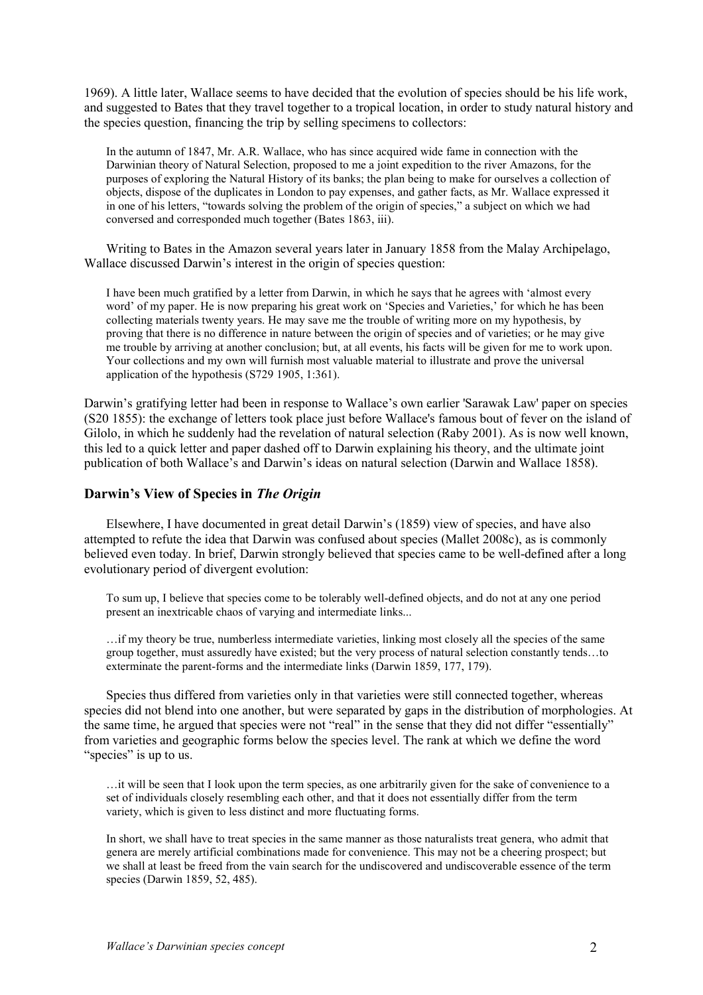1969). A little later, Wallace seems to have decided that the evolution of species should be his life work, and suggested to Bates that they travel together to a tropical location, in order to study natural history and the species question, financing the trip by selling specimens to collectors:

In the autumn of 1847, Mr. A.R. Wallace, who has since acquired wide fame in connection with the Darwinian theory of Natural Selection, proposed to me a joint expedition to the river Amazons, for the purposes of exploring the Natural History of its banks; the plan being to make for ourselves a collection of objects, dispose of the duplicates in London to pay expenses, and gather facts, as Mr. Wallace expressed it in one of his letters, "towards solving the problem of the origin of species," a subject on which we had conversed and corresponded much together (Bates 1863, iii).

Writing to Bates in the Amazon several years later in January 1858 from the Malay Archipelago, Wallace discussed Darwin's interest in the origin of species question:

I have been much gratified by a letter from Darwin, in which he says that he agrees with 'almost every word' of my paper. He is now preparing his great work on 'Species and Varieties,' for which he has been collecting materials twenty years. He may save me the trouble of writing more on my hypothesis, by proving that there is no difference in nature between the origin of species and of varieties; or he may give me trouble by arriving at another conclusion; but, at all events, his facts will be given for me to work upon. Your collections and my own will furnish most valuable material to illustrate and prove the universal application of the hypothesis (S729 1905, 1:361).

Darwin's gratifying letter had been in response to Wallace's own earlier 'Sarawak Law' paper on species (S20 1855): the exchange of letters took place just before Wallace's famous bout of fever on the island of Gilolo, in which he suddenly had the revelation of natural selection (Raby 2001). As is now well known, this led to a quick letter and paper dashed off to Darwin explaining his theory, and the ultimate joint publication of both Wallace's and Darwin's ideas on natural selection (Darwin and Wallace 1858).

## Darwin's View of Species in The Origin

Elsewhere, I have documented in great detail Darwin's (1859) view of species, and have also attempted to refute the idea that Darwin was confused about species (Mallet 2008c), as is commonly believed even today. In brief, Darwin strongly believed that species came to be well-defined after a long evolutionary period of divergent evolution:

To sum up, I believe that species come to be tolerably well-defined objects, and do not at any one period present an inextricable chaos of varying and intermediate links...

…if my theory be true, numberless intermediate varieties, linking most closely all the species of the same group together, must assuredly have existed; but the very process of natural selection constantly tends…to exterminate the parent-forms and the intermediate links (Darwin 1859, 177, 179).

Species thus differed from varieties only in that varieties were still connected together, whereas species did not blend into one another, but were separated by gaps in the distribution of morphologies. At the same time, he argued that species were not "real" in the sense that they did not differ "essentially" from varieties and geographic forms below the species level. The rank at which we define the word "species" is up to us.

…it will be seen that I look upon the term species, as one arbitrarily given for the sake of convenience to a set of individuals closely resembling each other, and that it does not essentially differ from the term variety, which is given to less distinct and more fluctuating forms.

In short, we shall have to treat species in the same manner as those naturalists treat genera, who admit that genera are merely artificial combinations made for convenience. This may not be a cheering prospect; but we shall at least be freed from the vain search for the undiscovered and undiscoverable essence of the term species (Darwin 1859, 52, 485).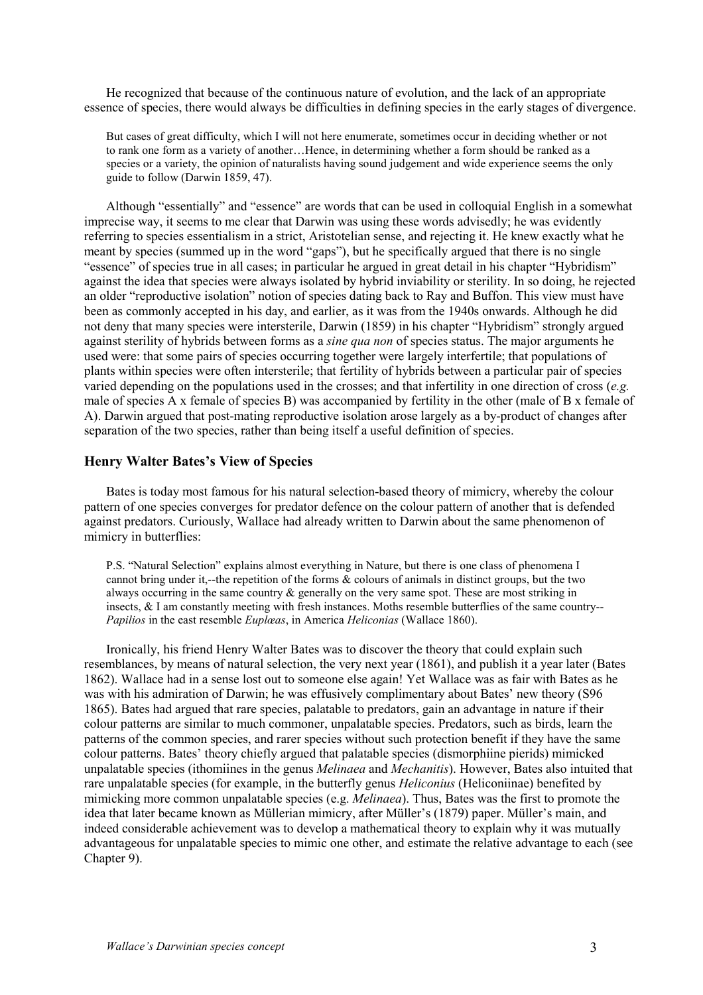He recognized that because of the continuous nature of evolution, and the lack of an appropriate essence of species, there would always be difficulties in defining species in the early stages of divergence.

But cases of great difficulty, which I will not here enumerate, sometimes occur in deciding whether or not to rank one form as a variety of another…Hence, in determining whether a form should be ranked as a species or a variety, the opinion of naturalists having sound judgement and wide experience seems the only guide to follow (Darwin 1859, 47).

Although "essentially" and "essence" are words that can be used in colloquial English in a somewhat imprecise way, it seems to me clear that Darwin was using these words advisedly; he was evidently referring to species essentialism in a strict, Aristotelian sense, and rejecting it. He knew exactly what he meant by species (summed up in the word "gaps"), but he specifically argued that there is no single "essence" of species true in all cases; in particular he argued in great detail in his chapter "Hybridism" against the idea that species were always isolated by hybrid inviability or sterility. In so doing, he rejected an older "reproductive isolation" notion of species dating back to Ray and Buffon. This view must have been as commonly accepted in his day, and earlier, as it was from the 1940s onwards. Although he did not deny that many species were intersterile, Darwin (1859) in his chapter "Hybridism" strongly argued against sterility of hybrids between forms as a *sine qua non* of species status. The major arguments he used were: that some pairs of species occurring together were largely interfertile; that populations of plants within species were often intersterile; that fertility of hybrids between a particular pair of species varied depending on the populations used in the crosses; and that infertility in one direction of cross (e.g. male of species A x female of species B) was accompanied by fertility in the other (male of B x female of A). Darwin argued that post-mating reproductive isolation arose largely as a by-product of changes after separation of the two species, rather than being itself a useful definition of species.

## Henry Walter Bates's View of Species

Bates is today most famous for his natural selection-based theory of mimicry, whereby the colour pattern of one species converges for predator defence on the colour pattern of another that is defended against predators. Curiously, Wallace had already written to Darwin about the same phenomenon of mimicry in butterflies:

P.S. "Natural Selection" explains almost everything in Nature, but there is one class of phenomena I cannot bring under it,--the repetition of the forms & colours of animals in distinct groups, but the two always occurring in the same country & generally on the very same spot. These are most striking in insects, & I am constantly meeting with fresh instances. Moths resemble butterflies of the same country-- Papilios in the east resemble *Euplœas*, in America *Heliconias* (Wallace 1860).

Ironically, his friend Henry Walter Bates was to discover the theory that could explain such resemblances, by means of natural selection, the very next year (1861), and publish it a year later (Bates 1862). Wallace had in a sense lost out to someone else again! Yet Wallace was as fair with Bates as he was with his admiration of Darwin; he was effusively complimentary about Bates' new theory (S96 1865). Bates had argued that rare species, palatable to predators, gain an advantage in nature if their colour patterns are similar to much commoner, unpalatable species. Predators, such as birds, learn the patterns of the common species, and rarer species without such protection benefit if they have the same colour patterns. Bates' theory chiefly argued that palatable species (dismorphiine pierids) mimicked unpalatable species (ithomiines in the genus Melinaea and Mechanitis). However, Bates also intuited that rare unpalatable species (for example, in the butterfly genus *Heliconius* (Heliconiinae) benefited by mimicking more common unpalatable species (e.g. *Melinaea*). Thus, Bates was the first to promote the idea that later became known as Müllerian mimicry, after Müller's (1879) paper. Müller's main, and indeed considerable achievement was to develop a mathematical theory to explain why it was mutually advantageous for unpalatable species to mimic one other, and estimate the relative advantage to each (see Chapter 9).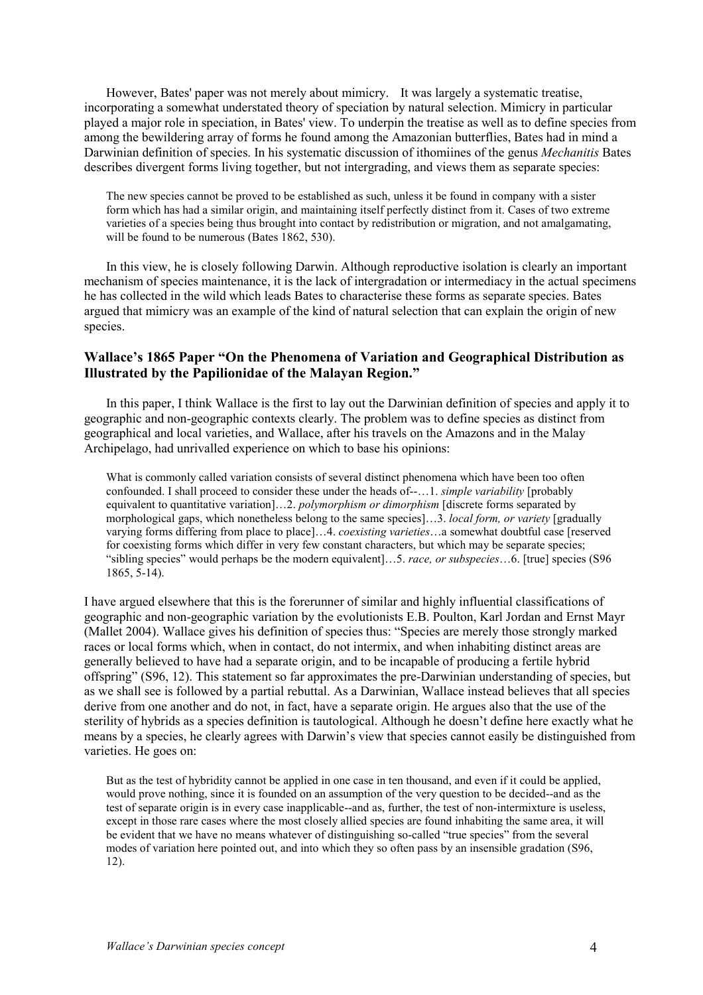However, Bates' paper was not merely about mimicry. It was largely a systematic treatise, incorporating a somewhat understated theory of speciation by natural selection. Mimicry in particular played a major role in speciation, in Bates' view. To underpin the treatise as well as to define species from among the bewildering array of forms he found among the Amazonian butterflies, Bates had in mind a Darwinian definition of species. In his systematic discussion of ithomiines of the genus Mechanitis Bates describes divergent forms living together, but not intergrading, and views them as separate species:

The new species cannot be proved to be established as such, unless it be found in company with a sister form which has had a similar origin, and maintaining itself perfectly distinct from it. Cases of two extreme varieties of a species being thus brought into contact by redistribution or migration, and not amalgamating, will be found to be numerous (Bates 1862, 530).

In this view, he is closely following Darwin. Although reproductive isolation is clearly an important mechanism of species maintenance, it is the lack of intergradation or intermediacy in the actual specimens he has collected in the wild which leads Bates to characterise these forms as separate species. Bates argued that mimicry was an example of the kind of natural selection that can explain the origin of new species.

## Wallace's 1865 Paper "On the Phenomena of Variation and Geographical Distribution as Illustrated by the Papilionidae of the Malayan Region."

In this paper, I think Wallace is the first to lay out the Darwinian definition of species and apply it to geographic and non-geographic contexts clearly. The problem was to define species as distinct from geographical and local varieties, and Wallace, after his travels on the Amazons and in the Malay Archipelago, had unrivalled experience on which to base his opinions:

What is commonly called variation consists of several distinct phenomena which have been too often confounded. I shall proceed to consider these under the heads of--…1. simple variability [probably equivalent to quantitative variation]…2. *polymorphism or dimorphism* [discrete forms separated by morphological gaps, which nonetheless belong to the same species]…3. *local form, or variety* [gradually varying forms differing from place to place]…4. coexisting varieties…a somewhat doubtful case [reserved for coexisting forms which differ in very few constant characters, but which may be separate species; "sibling species" would perhaps be the modern equivalent]…5. race, or subspecies…6. [true] species (S96 1865, 5-14).

I have argued elsewhere that this is the forerunner of similar and highly influential classifications of geographic and non-geographic variation by the evolutionists E.B. Poulton, Karl Jordan and Ernst Mayr (Mallet 2004). Wallace gives his definition of species thus: "Species are merely those strongly marked races or local forms which, when in contact, do not intermix, and when inhabiting distinct areas are generally believed to have had a separate origin, and to be incapable of producing a fertile hybrid offspring" (S96, 12). This statement so far approximates the pre-Darwinian understanding of species, but as we shall see is followed by a partial rebuttal. As a Darwinian, Wallace instead believes that all species derive from one another and do not, in fact, have a separate origin. He argues also that the use of the sterility of hybrids as a species definition is tautological. Although he doesn't define here exactly what he means by a species, he clearly agrees with Darwin's view that species cannot easily be distinguished from varieties. He goes on:

But as the test of hybridity cannot be applied in one case in ten thousand, and even if it could be applied, would prove nothing, since it is founded on an assumption of the very question to be decided--and as the test of separate origin is in every case inapplicable--and as, further, the test of non-intermixture is useless, except in those rare cases where the most closely allied species are found inhabiting the same area, it will be evident that we have no means whatever of distinguishing so-called "true species" from the several modes of variation here pointed out, and into which they so often pass by an insensible gradation (S96, 12).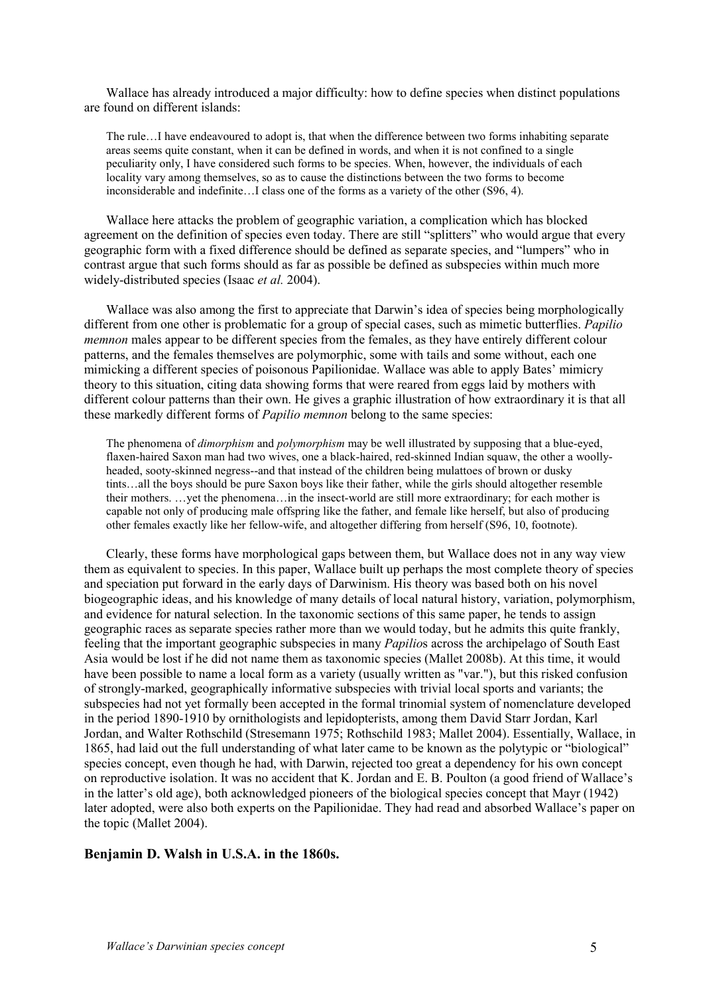Wallace has already introduced a major difficulty: how to define species when distinct populations are found on different islands:

The rule…I have endeavoured to adopt is, that when the difference between two forms inhabiting separate areas seems quite constant, when it can be defined in words, and when it is not confined to a single peculiarity only, I have considered such forms to be species. When, however, the individuals of each locality vary among themselves, so as to cause the distinctions between the two forms to become inconsiderable and indefinite…I class one of the forms as a variety of the other (S96, 4).

Wallace here attacks the problem of geographic variation, a complication which has blocked agreement on the definition of species even today. There are still "splitters" who would argue that every geographic form with a fixed difference should be defined as separate species, and "lumpers" who in contrast argue that such forms should as far as possible be defined as subspecies within much more widely-distributed species (Isaac et al. 2004).

Wallace was also among the first to appreciate that Darwin's idea of species being morphologically different from one other is problematic for a group of special cases, such as mimetic butterflies. *Papilio* memnon males appear to be different species from the females, as they have entirely different colour patterns, and the females themselves are polymorphic, some with tails and some without, each one mimicking a different species of poisonous Papilionidae. Wallace was able to apply Bates' mimicry theory to this situation, citing data showing forms that were reared from eggs laid by mothers with different colour patterns than their own. He gives a graphic illustration of how extraordinary it is that all these markedly different forms of Papilio memnon belong to the same species:

The phenomena of *dimorphism* and *polymorphism* may be well illustrated by supposing that a blue-eyed, flaxen-haired Saxon man had two wives, one a black-haired, red-skinned Indian squaw, the other a woollyheaded, sooty-skinned negress--and that instead of the children being mulattoes of brown or dusky tints…all the boys should be pure Saxon boys like their father, while the girls should altogether resemble their mothers. …yet the phenomena…in the insect-world are still more extraordinary; for each mother is capable not only of producing male offspring like the father, and female like herself, but also of producing other females exactly like her fellow-wife, and altogether differing from herself (S96, 10, footnote).

Clearly, these forms have morphological gaps between them, but Wallace does not in any way view them as equivalent to species. In this paper, Wallace built up perhaps the most complete theory of species and speciation put forward in the early days of Darwinism. His theory was based both on his novel biogeographic ideas, and his knowledge of many details of local natural history, variation, polymorphism, and evidence for natural selection. In the taxonomic sections of this same paper, he tends to assign geographic races as separate species rather more than we would today, but he admits this quite frankly, feeling that the important geographic subspecies in many Papilios across the archipelago of South East Asia would be lost if he did not name them as taxonomic species (Mallet 2008b). At this time, it would have been possible to name a local form as a variety (usually written as "var."), but this risked confusion of strongly-marked, geographically informative subspecies with trivial local sports and variants; the subspecies had not yet formally been accepted in the formal trinomial system of nomenclature developed in the period 1890-1910 by ornithologists and lepidopterists, among them David Starr Jordan, Karl Jordan, and Walter Rothschild (Stresemann 1975; Rothschild 1983; Mallet 2004). Essentially, Wallace, in 1865, had laid out the full understanding of what later came to be known as the polytypic or "biological" species concept, even though he had, with Darwin, rejected too great a dependency for his own concept on reproductive isolation. It was no accident that K. Jordan and E. B. Poulton (a good friend of Wallace's in the latter's old age), both acknowledged pioneers of the biological species concept that Mayr (1942) later adopted, were also both experts on the Papilionidae. They had read and absorbed Wallace's paper on the topic (Mallet 2004).

## Benjamin D. Walsh in U.S.A. in the 1860s.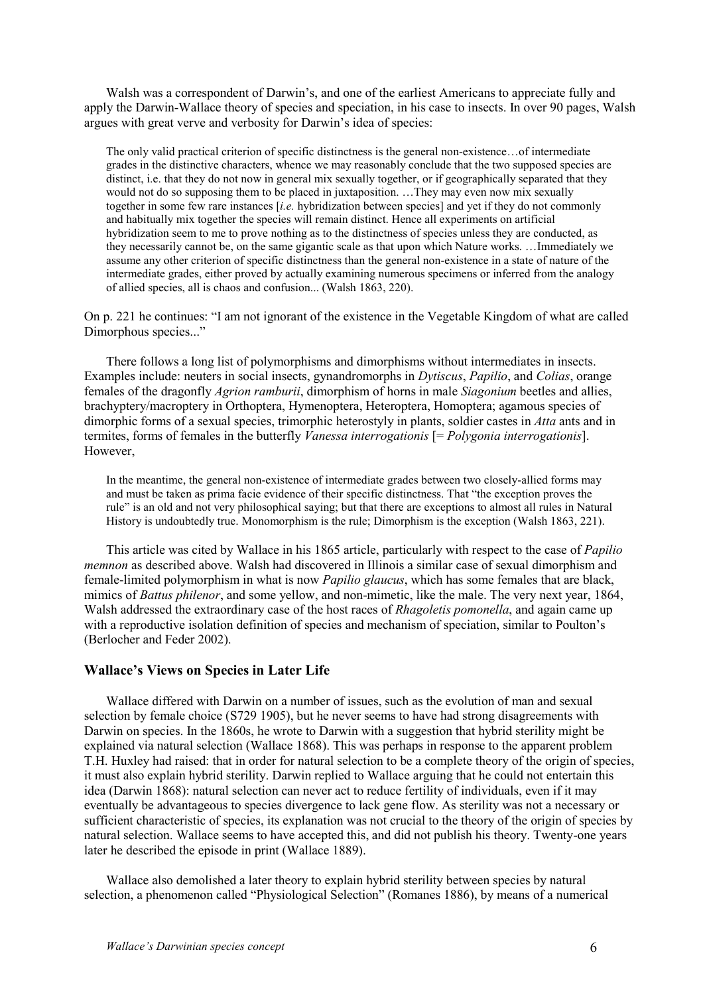Walsh was a correspondent of Darwin's, and one of the earliest Americans to appreciate fully and apply the Darwin-Wallace theory of species and speciation, in his case to insects. In over 90 pages, Walsh argues with great verve and verbosity for Darwin's idea of species:

The only valid practical criterion of specific distinctness is the general non-existence…of intermediate grades in the distinctive characters, whence we may reasonably conclude that the two supposed species are distinct, i.e. that they do not now in general mix sexually together, or if geographically separated that they would not do so supposing them to be placed in juxtaposition. …They may even now mix sexually together in some few rare instances [i.e. hybridization between species] and yet if they do not commonly and habitually mix together the species will remain distinct. Hence all experiments on artificial hybridization seem to me to prove nothing as to the distinctness of species unless they are conducted, as they necessarily cannot be, on the same gigantic scale as that upon which Nature works. …Immediately we assume any other criterion of specific distinctness than the general non-existence in a state of nature of the intermediate grades, either proved by actually examining numerous specimens or inferred from the analogy of allied species, all is chaos and confusion... (Walsh 1863, 220).

On p. 221 he continues: "I am not ignorant of the existence in the Vegetable Kingdom of what are called Dimorphous species..."

There follows a long list of polymorphisms and dimorphisms without intermediates in insects. Examples include: neuters in social insects, gynandromorphs in Dytiscus, Papilio, and Colias, orange females of the dragonfly Agrion ramburii, dimorphism of horns in male Siagonium beetles and allies, brachyptery/macroptery in Orthoptera, Hymenoptera, Heteroptera, Homoptera; agamous species of dimorphic forms of a sexual species, trimorphic heterostyly in plants, soldier castes in Atta ants and in termites, forms of females in the butterfly *Vanessa interrogationis* [= Polygonia interrogationis]. However,

In the meantime, the general non-existence of intermediate grades between two closely-allied forms may and must be taken as prima facie evidence of their specific distinctness. That "the exception proves the rule" is an old and not very philosophical saying; but that there are exceptions to almost all rules in Natural History is undoubtedly true. Monomorphism is the rule; Dimorphism is the exception (Walsh 1863, 221).

This article was cited by Wallace in his 1865 article, particularly with respect to the case of *Papilio* memnon as described above. Walsh had discovered in Illinois a similar case of sexual dimorphism and female-limited polymorphism in what is now Papilio glaucus, which has some females that are black, mimics of Battus philenor, and some yellow, and non-mimetic, like the male. The very next year, 1864, Walsh addressed the extraordinary case of the host races of *Rhagoletis pomonella*, and again came up with a reproductive isolation definition of species and mechanism of speciation, similar to Poulton's (Berlocher and Feder 2002).

## Wallace's Views on Species in Later Life

Wallace differed with Darwin on a number of issues, such as the evolution of man and sexual selection by female choice (S729 1905), but he never seems to have had strong disagreements with Darwin on species. In the 1860s, he wrote to Darwin with a suggestion that hybrid sterility might be explained via natural selection (Wallace 1868). This was perhaps in response to the apparent problem T.H. Huxley had raised: that in order for natural selection to be a complete theory of the origin of species, it must also explain hybrid sterility. Darwin replied to Wallace arguing that he could not entertain this idea (Darwin 1868): natural selection can never act to reduce fertility of individuals, even if it may eventually be advantageous to species divergence to lack gene flow. As sterility was not a necessary or sufficient characteristic of species, its explanation was not crucial to the theory of the origin of species by natural selection. Wallace seems to have accepted this, and did not publish his theory. Twenty-one years later he described the episode in print (Wallace 1889).

Wallace also demolished a later theory to explain hybrid sterility between species by natural selection, a phenomenon called "Physiological Selection" (Romanes 1886), by means of a numerical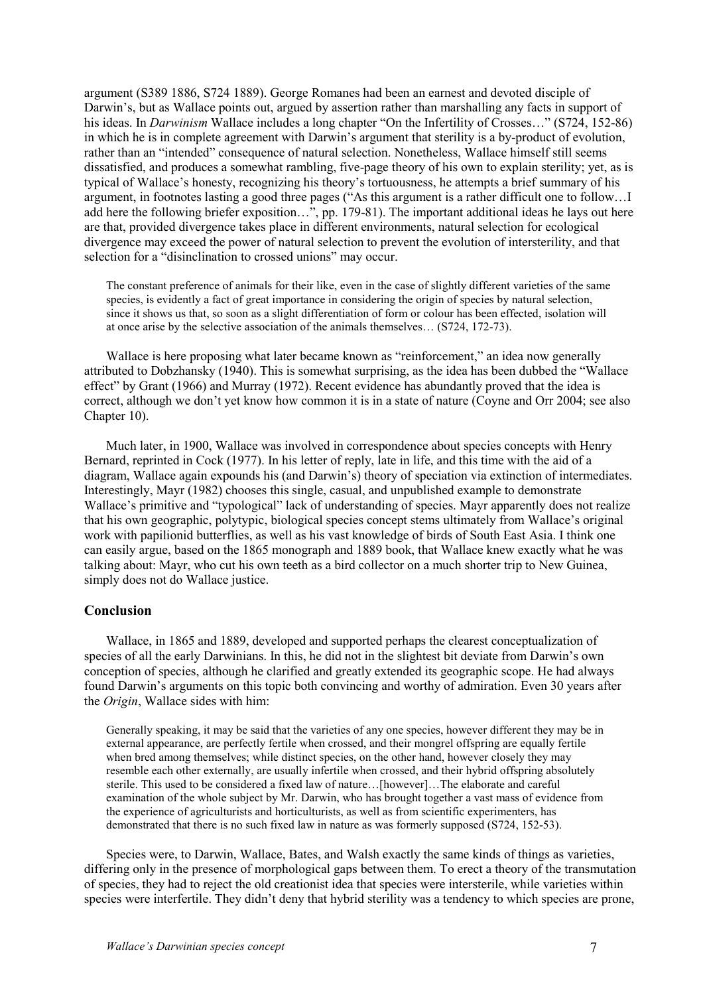argument (S389 1886, S724 1889). George Romanes had been an earnest and devoted disciple of Darwin's, but as Wallace points out, argued by assertion rather than marshalling any facts in support of his ideas. In *Darwinism* Wallace includes a long chapter "On the Infertility of Crosses..." (S724, 152-86) in which he is in complete agreement with Darwin's argument that sterility is a by-product of evolution, rather than an "intended" consequence of natural selection. Nonetheless, Wallace himself still seems dissatisfied, and produces a somewhat rambling, five-page theory of his own to explain sterility; yet, as is typical of Wallace's honesty, recognizing his theory's tortuousness, he attempts a brief summary of his argument, in footnotes lasting a good three pages ("As this argument is a rather difficult one to follow…I add here the following briefer exposition…", pp. 179-81). The important additional ideas he lays out here are that, provided divergence takes place in different environments, natural selection for ecological divergence may exceed the power of natural selection to prevent the evolution of intersterility, and that selection for a "disinclination to crossed unions" may occur.

The constant preference of animals for their like, even in the case of slightly different varieties of the same species, is evidently a fact of great importance in considering the origin of species by natural selection, since it shows us that, so soon as a slight differentiation of form or colour has been effected, isolation will at once arise by the selective association of the animals themselves… (S724, 172-73).

Wallace is here proposing what later became known as "reinforcement," an idea now generally attributed to Dobzhansky (1940). This is somewhat surprising, as the idea has been dubbed the "Wallace effect" by Grant (1966) and Murray (1972). Recent evidence has abundantly proved that the idea is correct, although we don't yet know how common it is in a state of nature (Coyne and Orr 2004; see also Chapter 10).

Much later, in 1900, Wallace was involved in correspondence about species concepts with Henry Bernard, reprinted in Cock (1977). In his letter of reply, late in life, and this time with the aid of a diagram, Wallace again expounds his (and Darwin's) theory of speciation via extinction of intermediates. Interestingly, Mayr (1982) chooses this single, casual, and unpublished example to demonstrate Wallace's primitive and "typological" lack of understanding of species. Mayr apparently does not realize that his own geographic, polytypic, biological species concept stems ultimately from Wallace's original work with papilionid butterflies, as well as his vast knowledge of birds of South East Asia. I think one can easily argue, based on the 1865 monograph and 1889 book, that Wallace knew exactly what he was talking about: Mayr, who cut his own teeth as a bird collector on a much shorter trip to New Guinea, simply does not do Wallace justice.

## Conclusion

Wallace, in 1865 and 1889, developed and supported perhaps the clearest conceptualization of species of all the early Darwinians. In this, he did not in the slightest bit deviate from Darwin's own conception of species, although he clarified and greatly extended its geographic scope. He had always found Darwin's arguments on this topic both convincing and worthy of admiration. Even 30 years after the Origin, Wallace sides with him:

Generally speaking, it may be said that the varieties of any one species, however different they may be in external appearance, are perfectly fertile when crossed, and their mongrel offspring are equally fertile when bred among themselves; while distinct species, on the other hand, however closely they may resemble each other externally, are usually infertile when crossed, and their hybrid offspring absolutely sterile. This used to be considered a fixed law of nature…[however]…The elaborate and careful examination of the whole subject by Mr. Darwin, who has brought together a vast mass of evidence from the experience of agriculturists and horticulturists, as well as from scientific experimenters, has demonstrated that there is no such fixed law in nature as was formerly supposed (S724, 152-53).

Species were, to Darwin, Wallace, Bates, and Walsh exactly the same kinds of things as varieties, differing only in the presence of morphological gaps between them. To erect a theory of the transmutation of species, they had to reject the old creationist idea that species were intersterile, while varieties within species were interfertile. They didn't deny that hybrid sterility was a tendency to which species are prone,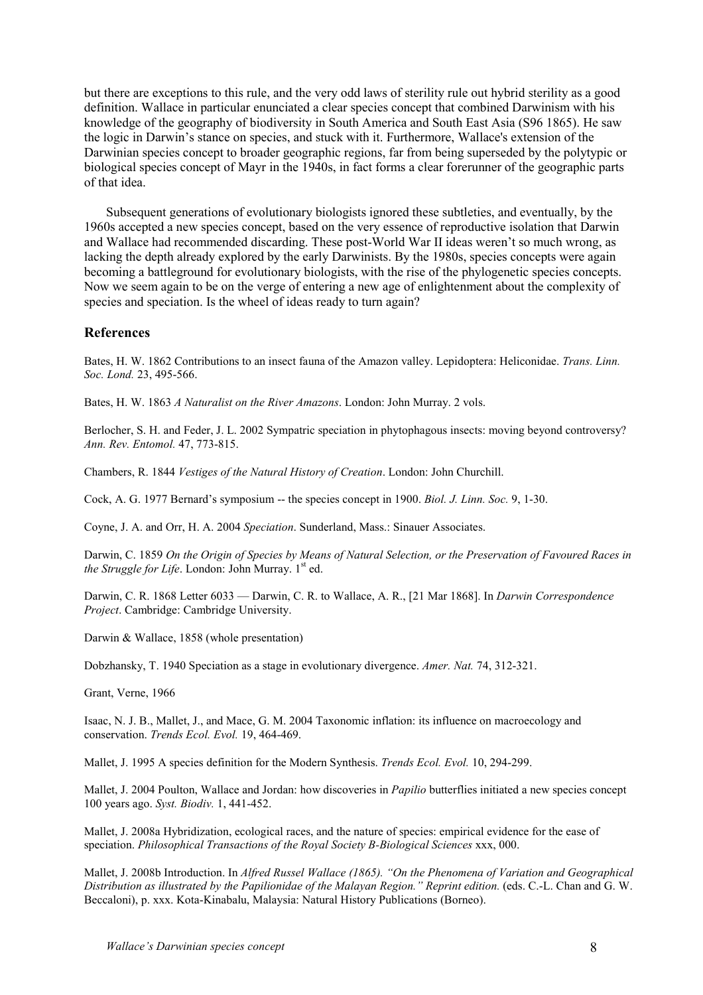but there are exceptions to this rule, and the very odd laws of sterility rule out hybrid sterility as a good definition. Wallace in particular enunciated a clear species concept that combined Darwinism with his knowledge of the geography of biodiversity in South America and South East Asia (S96 1865). He saw the logic in Darwin's stance on species, and stuck with it. Furthermore, Wallace's extension of the Darwinian species concept to broader geographic regions, far from being superseded by the polytypic or biological species concept of Mayr in the 1940s, in fact forms a clear forerunner of the geographic parts of that idea.

Subsequent generations of evolutionary biologists ignored these subtleties, and eventually, by the 1960s accepted a new species concept, based on the very essence of reproductive isolation that Darwin and Wallace had recommended discarding. These post-World War II ideas weren't so much wrong, as lacking the depth already explored by the early Darwinists. By the 1980s, species concepts were again becoming a battleground for evolutionary biologists, with the rise of the phylogenetic species concepts. Now we seem again to be on the verge of entering a new age of enlightenment about the complexity of species and speciation. Is the wheel of ideas ready to turn again?

## References

Bates, H. W. 1862 Contributions to an insect fauna of the Amazon valley. Lepidoptera: Heliconidae. Trans. Linn. Soc. Lond. 23, 495-566.

Bates, H. W. 1863 A Naturalist on the River Amazons. London: John Murray. 2 vols.

Berlocher, S. H. and Feder, J. L. 2002 Sympatric speciation in phytophagous insects: moving beyond controversy? Ann. Rev. Entomol. 47, 773-815.

Chambers, R. 1844 Vestiges of the Natural History of Creation. London: John Churchill.

Cock, A. G. 1977 Bernard's symposium -- the species concept in 1900. Biol. J. Linn. Soc. 9, 1-30.

Coyne, J. A. and Orr, H. A. 2004 Speciation. Sunderland, Mass.: Sinauer Associates.

Darwin, C. 1859 On the Origin of Species by Means of Natural Selection, or the Preservation of Favoured Races in the Struggle for Life. London: John Murray.  $1<sup>st</sup>$  ed.

Darwin, C. R. 1868 Letter 6033 — Darwin, C. R. to Wallace, A. R., [21 Mar 1868]. In Darwin Correspondence Project. Cambridge: Cambridge University.

Darwin & Wallace, 1858 (whole presentation)

Dobzhansky, T. 1940 Speciation as a stage in evolutionary divergence. Amer. Nat. 74, 312-321.

Grant, Verne, 1966

Isaac, N. J. B., Mallet, J., and Mace, G. M. 2004 Taxonomic inflation: its influence on macroecology and conservation. Trends Ecol. Evol. 19, 464-469.

Mallet, J. 1995 A species definition for the Modern Synthesis. *Trends Ecol. Evol.* 10, 294-299.

Mallet, J. 2004 Poulton, Wallace and Jordan: how discoveries in Papilio butterflies initiated a new species concept 100 years ago. Syst. Biodiv. 1, 441-452.

Mallet, J. 2008a Hybridization, ecological races, and the nature of species: empirical evidence for the ease of speciation. Philosophical Transactions of the Royal Society B-Biological Sciences xxx, 000.

Mallet, J. 2008b Introduction. In Alfred Russel Wallace (1865). "On the Phenomena of Variation and Geographical Distribution as illustrated by the Papilionidae of the Malayan Region." Reprint edition. (eds. C.-L. Chan and G. W. Beccaloni), p. xxx. Kota-Kinabalu, Malaysia: Natural History Publications (Borneo).